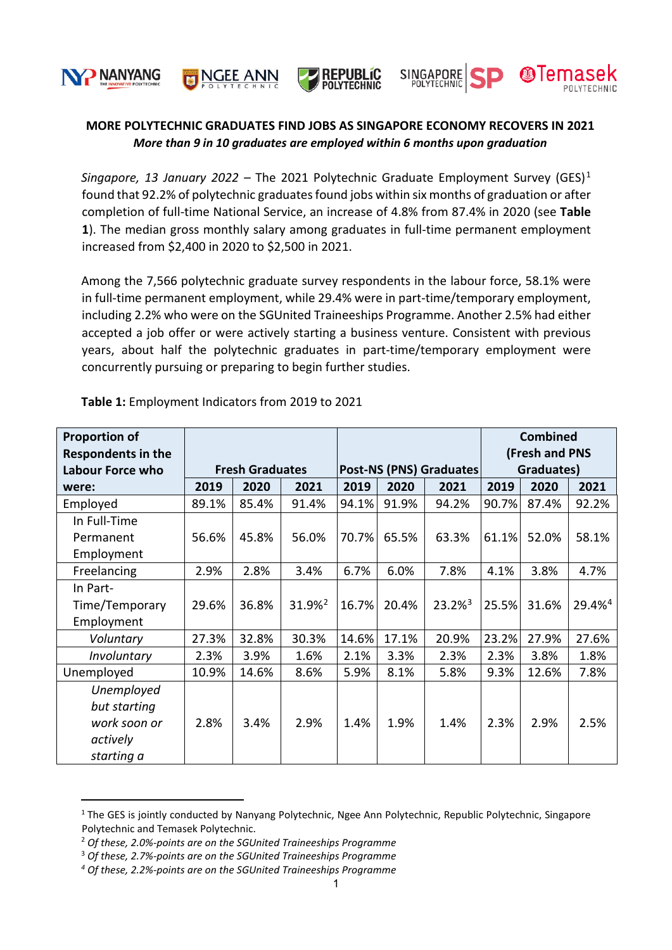





**SINGAPORE**<br>POLYTECHNIC

**A**Ten



*Singapore, [1](#page-0-0)3 January 2022 – The 2021 Polytechnic Graduate Employment Survey (GES)<sup>1</sup>* found that [92.2%](mailto:92.@%25) of polytechnic graduates found jobs within six months of graduation or after completion of full-time National Service, an increase of 4.8% from 87.4% in 2020 (see **Table 1**). The median gross monthly salary among graduates in full-time permanent employment increased from \$2,400 in 2020 to \$2,500 in 2021.

Among the 7,566 polytechnic graduate survey respondents in the labour force, 58.1% were in full-time permanent employment, while 29.4% were in part-time/temporary employment, including 2.2% who were on the SGUnited Traineeships Programme. Another 2.5% had either accepted a job offer or were actively starting a business venture. Consistent with previous years, about half the polytechnic graduates in part-time/temporary employment were concurrently pursuing or preparing to begin further studies.

| <b>Proportion of</b>      |                        |       |                    |                                |       |                    | <b>Combined</b> |       |                    |
|---------------------------|------------------------|-------|--------------------|--------------------------------|-------|--------------------|-----------------|-------|--------------------|
| <b>Respondents in the</b> |                        |       |                    |                                |       |                    | (Fresh and PNS  |       |                    |
| <b>Labour Force who</b>   | <b>Fresh Graduates</b> |       |                    | <b>Post-NS (PNS) Graduates</b> |       |                    | Graduates)      |       |                    |
| were:                     | 2019                   | 2020  | 2021               | 2019                           | 2020  | 2021               | 2019            | 2020  | 2021               |
| Employed                  | 89.1%                  | 85.4% | 91.4%              | 94.1%                          | 91.9% | 94.2%              | 90.7%           | 87.4% | 92.2%              |
| In Full-Time              |                        |       |                    |                                |       |                    |                 |       |                    |
| Permanent                 | 56.6%                  | 45.8% | 56.0%              | 70.7%                          | 65.5% | 63.3%              | 61.1%           | 52.0% | 58.1%              |
| Employment                |                        |       |                    |                                |       |                    |                 |       |                    |
| Freelancing               | 2.9%                   | 2.8%  | 3.4%               | 6.7%                           | 6.0%  | 7.8%               | 4.1%            | 3.8%  | 4.7%               |
| In Part-                  |                        |       |                    |                                |       |                    |                 |       |                    |
| Time/Temporary            | 29.6%                  | 36.8% | 31.9% <sup>2</sup> | 16.7%                          | 20.4% | 23.2% <sup>3</sup> | 25.5%           | 31.6% | 29.4% <sup>4</sup> |
| Employment                |                        |       |                    |                                |       |                    |                 |       |                    |
| Voluntary                 | 27.3%                  | 32.8% | 30.3%              | 14.6%                          | 17.1% | 20.9%              | 23.2%           | 27.9% | 27.6%              |
| Involuntary               | 2.3%                   | 3.9%  | 1.6%               | 2.1%                           | 3.3%  | 2.3%               | 2.3%            | 3.8%  | 1.8%               |
| Unemployed                | 10.9%                  | 14.6% | 8.6%               | 5.9%                           | 8.1%  | 5.8%               | 9.3%            | 12.6% | 7.8%               |
| Unemployed                |                        |       |                    |                                |       |                    |                 |       |                    |
| but starting              |                        |       |                    |                                |       |                    |                 |       |                    |
| work soon or              | 2.8%                   | 3.4%  | 2.9%               | 1.4%                           | 1.9%  | 1.4%               | 2.3%            | 2.9%  | 2.5%               |
| actively                  |                        |       |                    |                                |       |                    |                 |       |                    |
| starting a                |                        |       |                    |                                |       |                    |                 |       |                    |

**Table 1:** Employment Indicators from 2019 to 2021

<span id="page-0-0"></span><sup>&</sup>lt;sup>1</sup> The GES is jointly conducted by Nanyang Polytechnic, Ngee Ann Polytechnic, Republic Polytechnic, Singapore Polytechnic and Temasek Polytechnic.

<span id="page-0-1"></span><sup>2</sup> *Of these, 2.0%-points are on the SGUnited Traineeships Programme*

<span id="page-0-2"></span><sup>3</sup> *Of these, 2.7%-points are on the SGUnited Traineeships Programme*

<span id="page-0-3"></span>*<sup>4</sup> Of these, 2.2%-points are on the SGUnited Traineeships Programme*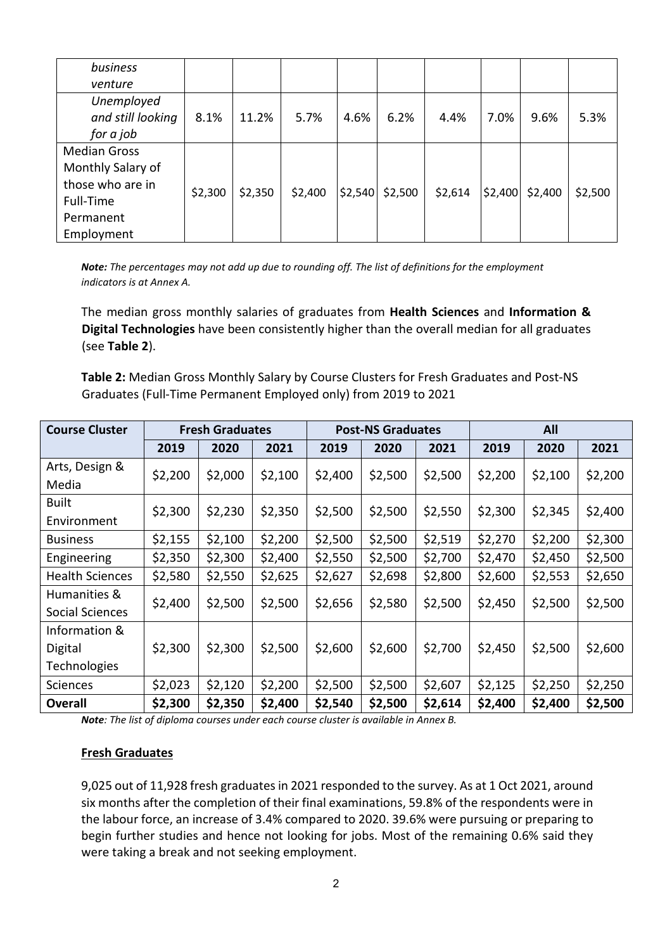| business            |         |         |         |         |         |         |         |         |         |
|---------------------|---------|---------|---------|---------|---------|---------|---------|---------|---------|
| venture             |         |         |         |         |         |         |         |         |         |
| Unemployed          |         |         |         |         |         |         |         |         |         |
| and still looking   | 8.1%    | 11.2%   | 5.7%    | 4.6%    | 6.2%    | 4.4%    | 7.0%    | 9.6%    | 5.3%    |
| for a job           |         |         |         |         |         |         |         |         |         |
| <b>Median Gross</b> |         |         |         |         |         |         |         |         |         |
| Monthly Salary of   |         |         |         |         |         |         |         |         |         |
| those who are in    | \$2,300 | \$2,350 | \$2,400 | \$2,540 | \$2,500 | \$2,614 | \$2,400 | \$2,400 | \$2,500 |
| Full-Time           |         |         |         |         |         |         |         |         |         |
| Permanent           |         |         |         |         |         |         |         |         |         |
| Employment          |         |         |         |         |         |         |         |         |         |

*Note: The percentages may not add up due to rounding off. The list of definitions for the employment indicators is at Annex A.* 

The median gross monthly salaries of graduates from **Health Sciences** and **Information & Digital Technologies** have been consistently higher than the overall median for all graduates (see **Table 2**).

**Table 2:** Median Gross Monthly Salary by Course Clusters for Fresh Graduates and Post-NS Graduates (Full-Time Permanent Employed only) from 2019 to 2021

| <b>Course Cluster</b>  | <b>Fresh Graduates</b> |         |         |         | <b>Post-NS Graduates</b> |         | All     |         |         |  |
|------------------------|------------------------|---------|---------|---------|--------------------------|---------|---------|---------|---------|--|
|                        | 2019                   | 2020    | 2021    | 2019    | 2020                     | 2021    | 2019    | 2020    | 2021    |  |
| Arts, Design &         | \$2,200                | \$2,000 | \$2,100 | \$2,400 | \$2,500                  | \$2,500 | \$2,200 | \$2,100 | \$2,200 |  |
| Media                  |                        |         |         |         |                          |         |         |         |         |  |
| <b>Built</b>           | \$2,300                | \$2,230 | \$2,350 | \$2,500 | \$2,500                  | \$2,550 | \$2,300 | \$2,345 | \$2,400 |  |
| Environment            |                        |         |         |         |                          |         |         |         |         |  |
| <b>Business</b>        | \$2,155                | \$2,100 | \$2,200 | \$2,500 | \$2,500                  | \$2,519 | \$2,270 | \$2,200 | \$2,300 |  |
| Engineering            | \$2,350                | \$2,300 | \$2,400 | \$2,550 | \$2,500                  | \$2,700 | \$2,470 | \$2,450 | \$2,500 |  |
| <b>Health Sciences</b> | \$2,580                | \$2,550 | \$2,625 | \$2,627 | \$2,698                  | \$2,800 | \$2,600 | \$2,553 | \$2,650 |  |
| Humanities &           |                        | \$2,500 | \$2,500 | \$2,656 | \$2,580                  | \$2,500 | \$2,450 | \$2,500 |         |  |
| <b>Social Sciences</b> | \$2,400                |         |         |         |                          |         |         |         | \$2,500 |  |
| Information &          |                        |         |         |         |                          |         |         |         |         |  |
| Digital                | \$2,300                | \$2,300 | \$2,500 | \$2,600 | \$2,600                  | \$2,700 | \$2,450 | \$2,500 | \$2,600 |  |
| Technologies           |                        |         |         |         |                          |         |         |         |         |  |
| <b>Sciences</b>        | \$2,023                | \$2,120 | \$2,200 | \$2,500 | \$2,500                  | \$2,607 | \$2,125 | \$2,250 | \$2,250 |  |
| <b>Overall</b>         | \$2,300                | \$2,350 | \$2,400 | \$2,540 | \$2,500                  | \$2,614 | \$2,400 | \$2,400 | \$2,500 |  |

*Note: The list of diploma courses under each course cluster is available in Annex B.*

### **Fresh Graduates**

9,025 out of 11,928 fresh graduates in 2021 responded to the survey. As at 1 Oct 2021, around six months after the completion of their final examinations, 59.8% of the respondents were in the labour force, an increase of 3.4% compared to 2020. 39.6% were pursuing or preparing to begin further studies and hence not looking for jobs. Most of the remaining 0.6% said they were taking a break and not seeking employment.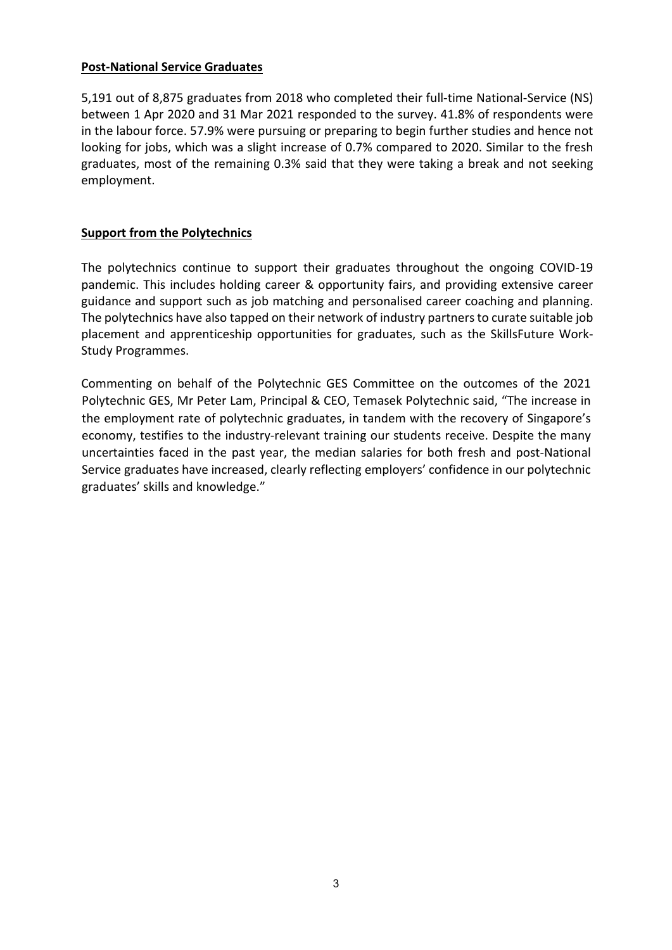## **Post-National Service Graduates**

5,191 out of 8,875 graduates from 2018 who completed their full-time National-Service (NS) between 1 Apr 2020 and 31 Mar 2021 responded to the survey. 41.8% of respondents were in the labour force. 57.9% were pursuing or preparing to begin further studies and hence not looking for jobs, which was a slight increase of 0.7% compared to 2020. Similar to the fresh graduates, most of the remaining 0.3% said that they were taking a break and not seeking employment.

# **Support from the Polytechnics**

The polytechnics continue to support their graduates throughout the ongoing COVID-19 pandemic. This includes holding career & opportunity fairs, and providing extensive career guidance and support such as job matching and personalised career coaching and planning. The polytechnics have also tapped on their network of industry partners to curate suitable job placement and apprenticeship opportunities for graduates, such as the SkillsFuture Work-Study Programmes.

Commenting on behalf of the Polytechnic GES Committee on the outcomes of the 2021 Polytechnic GES, Mr Peter Lam, Principal & CEO, Temasek Polytechnic said, "The increase in the employment rate of polytechnic graduates, in tandem with the recovery of Singapore's economy, testifies to the industry-relevant training our students receive. Despite the many uncertainties faced in the past year, the median salaries for both fresh and post-National Service graduates have increased, clearly reflecting employers' confidence in our polytechnic graduates' skills and knowledge."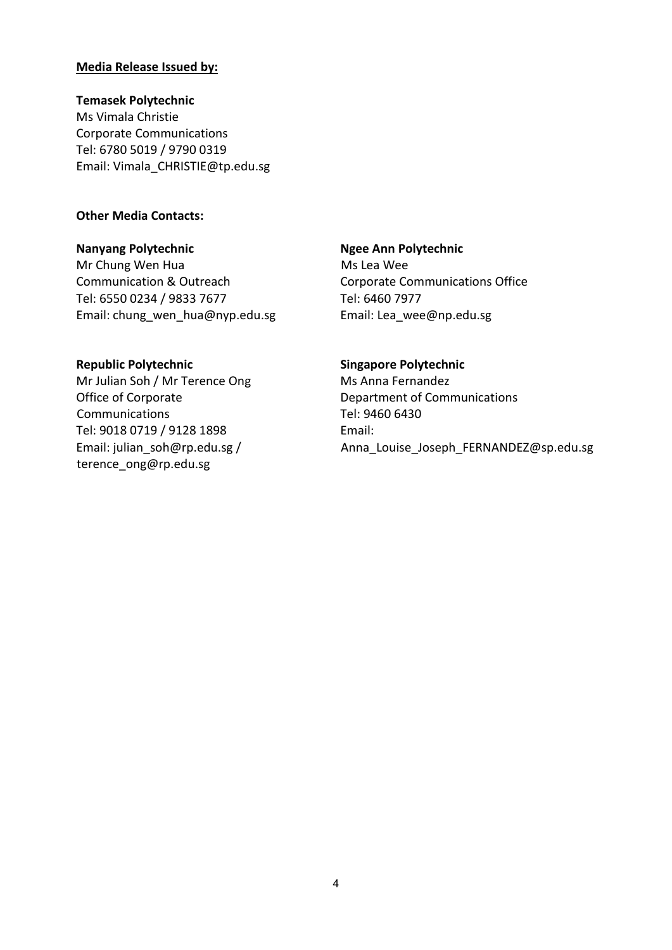### **Media Release Issued by:**

#### **Temasek Polytechnic**

Ms Vimala Christie Corporate Communications Tel: 6780 5019 / 9790 0319 Email: [Vimala\\_CHRISTIE@tp.edu.sg](mailto:Vimala_CHRISTIE@tp.edu.sg)

### **Other Media Contacts:**

#### **Nanyang Polytechnic**

Mr Chung Wen Hua Communication & Outreach Tel: 6550 0234 / 9833 7677 Email: [chung\\_wen\\_hua@nyp.edu.sg](mailto:chung_wen_hua@nyp.edu.sg)

### **Ngee Ann Polytechnic**

Ms Lea Wee Corporate Communications Office Tel: 6460 7977 Email: Lea\_wee@np.edu.sg

# **Republic Polytechnic**

Mr Julian Soh / Mr Terence Ong Office of Corporate Communications Tel: 9018 0719 / 9128 1898 Email: [julian\\_soh@rp.edu.sg](mailto:julian_soh@rp.edu.sg) / [terence\\_ong@rp.edu.sg](mailto:Terence_ong@rp.edu.sg)

### **Singapore Polytechnic**

Ms Anna Fernandez Department of Communications Tel: 9460 6430 Email: Anna\_Louise\_Joseph\_FERNANDEZ@sp.edu.sg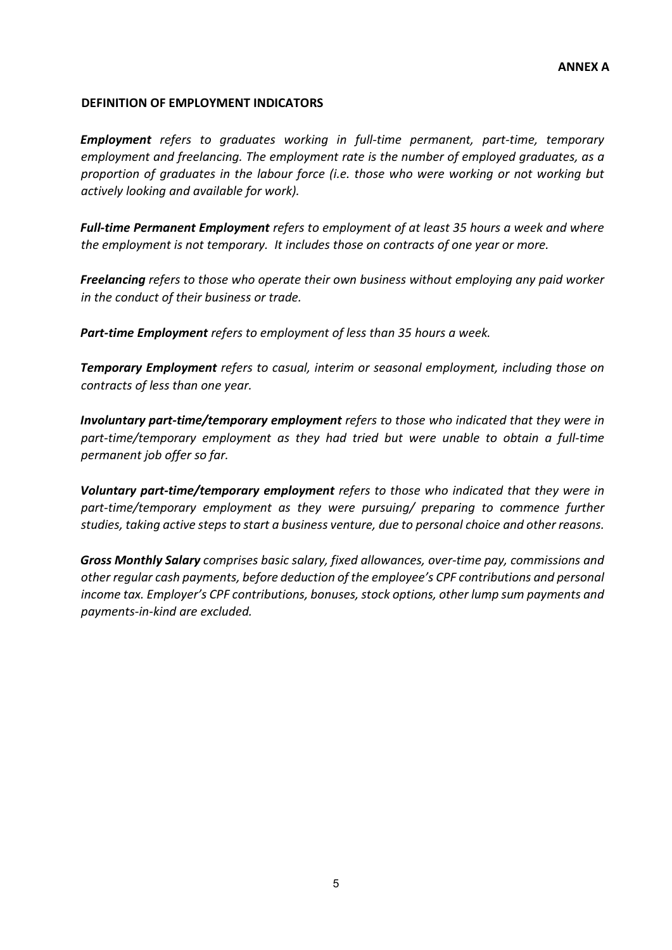## **DEFINITION OF EMPLOYMENT INDICATORS**

*Employment refers to graduates working in full-time permanent, part-time, temporary employment and freelancing. The employment rate is the number of employed graduates, as a proportion of graduates in the labour force (i.e. those who were working or not working but actively looking and available for work).*

*Full-time Permanent Employment refers to employment of at least 35 hours a week and where the employment is not temporary. It includes those on contracts of one year or more.* 

*Freelancing refers to those who operate their own business without employing any paid worker in the conduct of their business or trade.* 

*Part-time Employment refers to employment of less than 35 hours a week.* 

*Temporary Employment refers to casual, interim or seasonal employment, including those on contracts of less than one year.* 

*Involuntary part-time/temporary employment refers to those who indicated that they were in part-time/temporary employment as they had tried but were unable to obtain a full-time permanent job offer so far.* 

*Voluntary part-time/temporary employment refers to those who indicated that they were in part-time/temporary employment as they were pursuing/ preparing to commence further studies, taking active steps to start a business venture, due to personal choice and other reasons.* 

*Gross Monthly Salary comprises basic salary, fixed allowances, over-time pay, commissions and other regular cash payments, before deduction of the employee's CPF contributions and personal income tax. Employer's CPF contributions, bonuses, stock options, other lump sum payments and payments-in-kind are excluded.*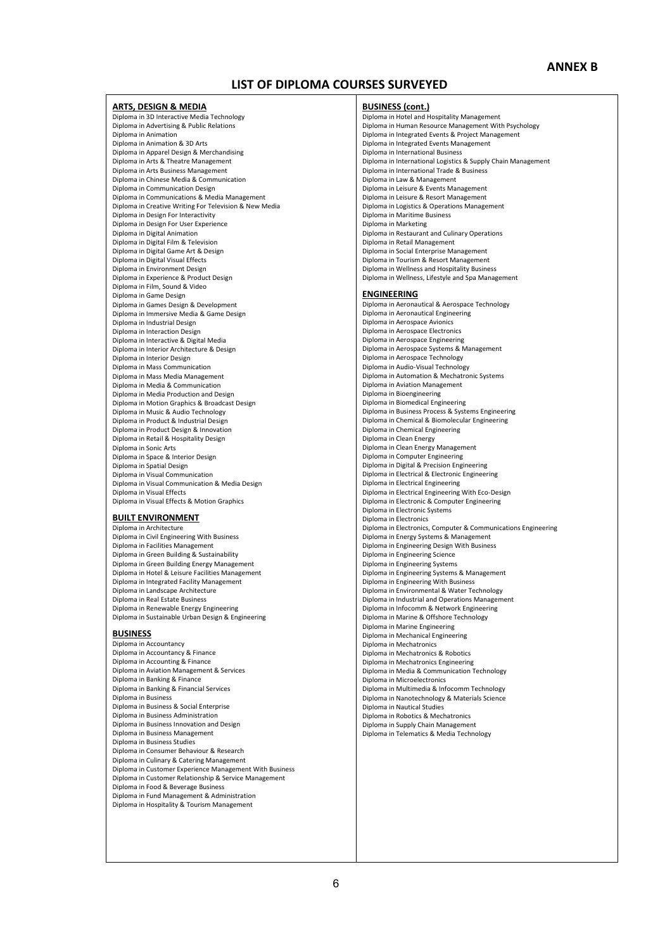### **LIST OF DIPLOMA COURSES SURVEYED**

#### **ARTS, DESIGN & MEDIA**

Diploma in 3D Interactive Media Technology Diploma in Advertising & Public Relations Diploma in Animation Diploma in Animation & 3D Arts Diploma in Apparel Design & Merchandising Diploma in Arts & Theatre Management Diploma in Arts Business Management Diploma in Chinese Media & Communication Diploma in Communication Design Diploma in Communications & Media Management Diploma in Creative Writing For Television & New Media Diploma in Design For Interactivity Diploma in Design For User Experience Diploma in Digital Animation Diploma in Digital Film & Television Diploma in Digital Game Art & Design Diploma in Digital Visual Effects Diploma in Environment Design Diploma in Experience & Product Design Diploma in Film, Sound & Video Diploma in Game Design Diploma in Games Design & Development Diploma in Immersive Media & Game Design Diploma in Industrial Design Diploma in Interaction Design Diploma in Interactive & Digital Media Diploma in Interior Architecture & Design Diploma in Interior Design Diploma in Mass Communication Diploma in Mass Media Management Diploma in Media & Communication Diploma in Media Production and Design Diploma in Motion Graphics & Broadcast Design Diploma in Music & Audio Technology Diploma in Product & Industrial Design Diploma in Product Design & Innovation Diploma in Retail & Hospitality Design Diploma in Sonic Arts Diploma in Space & Interior Design Diploma in Spatial Design Diploma in Visual Communication Diploma in Visual Communication & Media Design Diploma in Visual Effects Diploma in Visual Effects & Motion Graphics

#### **BUILT ENVIRONMENT**

Diploma in Architecture Diploma in Civil Engineering With Business Diploma in Facilities Management Diploma in Green Building & Sustainability Diploma in Green Building Energy Management Diploma in Hotel & Leisure Facilities Management Diploma in Integrated Facility Management Diploma in Landscape Architecture Diploma in Real Estate Business Diploma in Renewable Energy Engineering Diploma in Sustainable Urban Design & Engineering

#### **BUSINESS**

Diploma in Accountancy Diploma in Accountancy & Finance Diploma in Accounting & Finance Diploma in Aviation Management & Services Diploma in Banking & Finance Diploma in Banking & Financial Services Diploma in Business Diploma in Business & Social Enterprise Diploma in Business Administration Diploma in Business Innovation and Design Diploma in Business Management Diploma in Business Studies Diploma in Consumer Behaviour & Research Diploma in Culinary & Catering Management Diploma in Customer Experience Management With Business Diploma in Customer Relationship & Service Management Diploma in Food & Beverage Business Diploma in Fund Management & Administration Diploma in Hospitality & Tourism Management

#### **BUSINESS (cont.)**

Diploma in Hotel and Hospitality Management Diploma in Human Resource Management With Psychology Diploma in Integrated Events & Project Management Diploma in Integrated Events Management Diploma in International Business Diploma in International Logistics & Supply Chain Management Diploma in International Trade & Business Diploma in Law & Management Diploma in Leisure & Events Management Diploma in Leisure & Resort Management Diploma in Logistics & Operations Management Diploma in Maritime Business Diploma in Marketing Diploma in Restaurant and Culinary Operations Diploma in Retail Management Diploma in Social Enterprise Management Diploma in Tourism & Resort Management Diploma in Wellness and Hospitality Business Diploma in Wellness, Lifestyle and Spa Management **ENGINEERING** Diploma in Aeronautical & Aerospace Technology Diploma in Aeronautical Engineering Diploma in Aerospace Avionics Diploma in Aerospace Electronics Diploma in Aerospace Engineering Diploma in Aerospace Systems & Management Diploma in Aerospace Technology Diploma in Audio-Visual Technology Diploma in Automation & Mechatronic Systems Diploma in Aviation Management Diploma in Bioengineering Diploma in Biomedical Engineering Diploma in Business Process & Systems Engineering Diploma in Chemical & Biomolecular Engineering Diploma in Chemical Engineering Diploma in Clean Energy Diploma in Clean Energy Management Diploma in Computer Engineering Diploma in Digital & Precision Engineering Diploma in Electrical & Electronic Engineering Diploma in Electrical Engineering Diploma in Electrical Engineering With Eco-Design Diploma in Electronic & Computer Engineering Diploma in Electronic Systems Diploma in Electronics Diploma in Electronics, Computer & Communications Engineering Diploma in Energy Systems & Management Diploma in Engineering Design With Business Diploma in Engineering Science Diploma in Engineering Systems Diploma in Engineering Systems & Management Diploma in Engineering With Business Diploma in Environmental & Water Technology Diploma in Industrial and Operations Management Diploma in Infocomm & Network Engineering Diploma in Marine & Offshore Technology Diploma in Marine Engineering Diploma in Mechanical Engineering Diploma in Mechatronics Diploma in Mechatronics & Robotics Diploma in Mechatronics Engineering Diploma in Media & Communication Technology Diploma in Microelectronics Diploma in Multimedia & Infocomm Technology Diploma in Nanotechnology & Materials Science Diploma in Nautical Studies Diploma in Robotics & Mechatronics Diploma in Supply Chain Management Diploma in Telematics & Media Technology